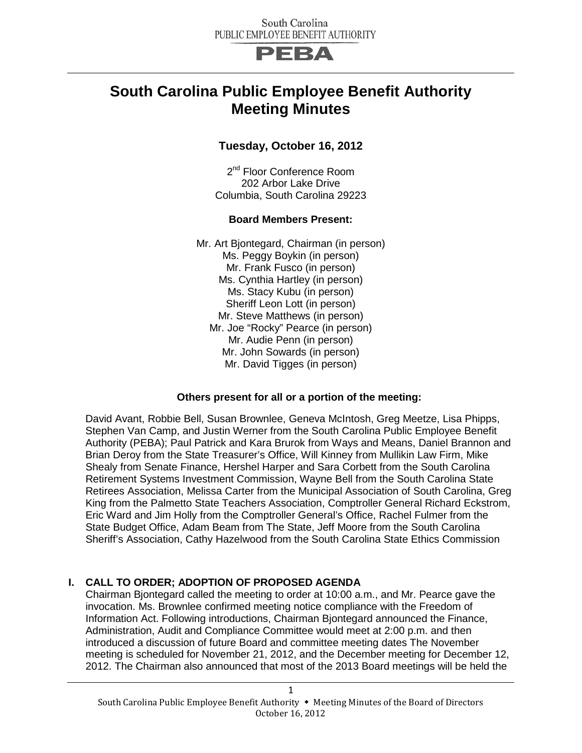

## **South Carolina Public Employee Benefit Authority Meeting Minutes**

#### **Tuesday, October 16, 2012**

2<sup>nd</sup> Floor Conference Room 202 Arbor Lake Drive Columbia, South Carolina 29223

#### **Board Members Present:**

Mr. Art Bjontegard, Chairman (in person) Ms. Peggy Boykin (in person) Mr. Frank Fusco (in person) Ms. Cynthia Hartley (in person) Ms. Stacy Kubu (in person) Sheriff Leon Lott (in person) Mr. Steve Matthews (in person) Mr. Joe "Rocky" Pearce (in person) Mr. Audie Penn (in person) Mr. John Sowards (in person) Mr. David Tigges (in person)

#### **Others present for all or a portion of the meeting:**

David Avant, Robbie Bell, Susan Brownlee, Geneva McIntosh, Greg Meetze, Lisa Phipps, Stephen Van Camp, and Justin Werner from the South Carolina Public Employee Benefit Authority (PEBA); Paul Patrick and Kara Brurok from Ways and Means, Daniel Brannon and Brian Deroy from the State Treasurer's Office, Will Kinney from Mullikin Law Firm, Mike Shealy from Senate Finance, Hershel Harper and Sara Corbett from the South Carolina Retirement Systems Investment Commission, Wayne Bell from the South Carolina State Retirees Association, Melissa Carter from the Municipal Association of South Carolina, Greg King from the Palmetto State Teachers Association, Comptroller General Richard Eckstrom, Eric Ward and Jim Holly from the Comptroller General's Office, Rachel Fulmer from the State Budget Office, Adam Beam from The State, Jeff Moore from the South Carolina Sheriff's Association, Cathy Hazelwood from the South Carolina State Ethics Commission

#### **I. CALL TO ORDER; ADOPTION OF PROPOSED AGENDA**

Chairman Bjontegard called the meeting to order at 10:00 a.m., and Mr. Pearce gave the invocation. Ms. Brownlee confirmed meeting notice compliance with the Freedom of Information Act. Following introductions, Chairman Bjontegard announced the Finance, Administration, Audit and Compliance Committee would meet at 2:00 p.m. and then introduced a discussion of future Board and committee meeting dates The November meeting is scheduled for November 21, 2012, and the December meeting for December 12, 2012. The Chairman also announced that most of the 2013 Board meetings will be held the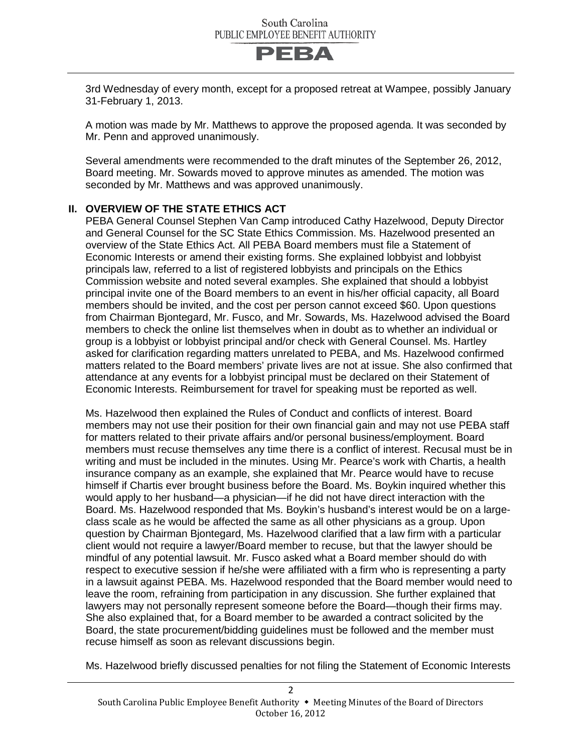

3rd Wednesday of every month, except for a proposed retreat at Wampee, possibly January 31-February 1, 2013.

A motion was made by Mr. Matthews to approve the proposed agenda. It was seconded by Mr. Penn and approved unanimously.

Several amendments were recommended to the draft minutes of the September 26, 2012, Board meeting. Mr. Sowards moved to approve minutes as amended. The motion was seconded by Mr. Matthews and was approved unanimously.

#### **II. OVERVIEW OF THE STATE ETHICS ACT**

PEBA General Counsel Stephen Van Camp introduced Cathy Hazelwood, Deputy Director and General Counsel for the SC State Ethics Commission. Ms. Hazelwood presented an overview of the State Ethics Act. All PEBA Board members must file a Statement of Economic Interests or amend their existing forms. She explained lobbyist and lobbyist principals law, referred to a list of registered lobbyists and principals on the Ethics Commission website and noted several examples. She explained that should a lobbyist principal invite one of the Board members to an event in his/her official capacity, all Board members should be invited, and the cost per person cannot exceed \$60. Upon questions from Chairman Bjontegard, Mr. Fusco, and Mr. Sowards, Ms. Hazelwood advised the Board members to check the online list themselves when in doubt as to whether an individual or group is a lobbyist or lobbyist principal and/or check with General Counsel. Ms. Hartley asked for clarification regarding matters unrelated to PEBA, and Ms. Hazelwood confirmed matters related to the Board members' private lives are not at issue. She also confirmed that attendance at any events for a lobbyist principal must be declared on their Statement of Economic Interests. Reimbursement for travel for speaking must be reported as well.

Ms. Hazelwood then explained the Rules of Conduct and conflicts of interest. Board members may not use their position for their own financial gain and may not use PEBA staff for matters related to their private affairs and/or personal business/employment. Board members must recuse themselves any time there is a conflict of interest. Recusal must be in writing and must be included in the minutes. Using Mr. Pearce's work with Chartis, a health insurance company as an example, she explained that Mr. Pearce would have to recuse himself if Chartis ever brought business before the Board. Ms. Boykin inquired whether this would apply to her husband—a physician—if he did not have direct interaction with the Board. Ms. Hazelwood responded that Ms. Boykin's husband's interest would be on a largeclass scale as he would be affected the same as all other physicians as a group. Upon question by Chairman Bjontegard, Ms. Hazelwood clarified that a law firm with a particular client would not require a lawyer/Board member to recuse, but that the lawyer should be mindful of any potential lawsuit. Mr. Fusco asked what a Board member should do with respect to executive session if he/she were affiliated with a firm who is representing a party in a lawsuit against PEBA. Ms. Hazelwood responded that the Board member would need to leave the room, refraining from participation in any discussion. She further explained that lawyers may not personally represent someone before the Board—though their firms may. She also explained that, for a Board member to be awarded a contract solicited by the Board, the state procurement/bidding guidelines must be followed and the member must recuse himself as soon as relevant discussions begin.

Ms. Hazelwood briefly discussed penalties for not filing the Statement of Economic Interests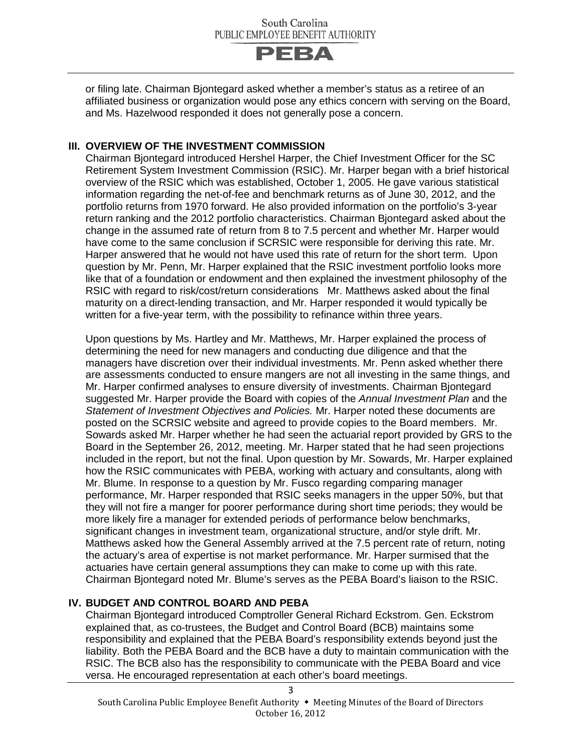

or filing late. Chairman Bjontegard asked whether a member's status as a retiree of an affiliated business or organization would pose any ethics concern with serving on the Board, and Ms. Hazelwood responded it does not generally pose a concern.

#### **III. OVERVIEW OF THE INVESTMENT COMMISSION**

Chairman Bjontegard introduced Hershel Harper, the Chief Investment Officer for the SC Retirement System Investment Commission (RSIC). Mr. Harper began with a brief historical overview of the RSIC which was established, October 1, 2005. He gave various statistical information regarding the net-of-fee and benchmark returns as of June 30, 2012, and the portfolio returns from 1970 forward. He also provided information on the portfolio's 3-year return ranking and the 2012 portfolio characteristics. Chairman Bjontegard asked about the change in the assumed rate of return from 8 to 7.5 percent and whether Mr. Harper would have come to the same conclusion if SCRSIC were responsible for deriving this rate. Mr. Harper answered that he would not have used this rate of return for the short term. Upon question by Mr. Penn, Mr. Harper explained that the RSIC investment portfolio looks more like that of a foundation or endowment and then explained the investment philosophy of the RSIC with regard to risk/cost/return considerations Mr. Matthews asked about the final maturity on a direct-lending transaction, and Mr. Harper responded it would typically be written for a five-year term, with the possibility to refinance within three years.

Upon questions by Ms. Hartley and Mr. Matthews, Mr. Harper explained the process of determining the need for new managers and conducting due diligence and that the managers have discretion over their individual investments. Mr. Penn asked whether there are assessments conducted to ensure mangers are not all investing in the same things, and Mr. Harper confirmed analyses to ensure diversity of investments. Chairman Bjontegard suggested Mr. Harper provide the Board with copies of the *Annual Investment Plan* and the *Statement of Investment Objectives and Policies.* Mr. Harper noted these documents are posted on the SCRSIC website and agreed to provide copies to the Board members. Mr. Sowards asked Mr. Harper whether he had seen the actuarial report provided by GRS to the Board in the September 26, 2012, meeting. Mr. Harper stated that he had seen projections included in the report, but not the final. Upon question by Mr. Sowards, Mr. Harper explained how the RSIC communicates with PEBA, working with actuary and consultants, along with Mr. Blume. In response to a question by Mr. Fusco regarding comparing manager performance, Mr. Harper responded that RSIC seeks managers in the upper 50%, but that they will not fire a manger for poorer performance during short time periods; they would be more likely fire a manager for extended periods of performance below benchmarks, significant changes in investment team, organizational structure, and/or style drift. Mr. Matthews asked how the General Assembly arrived at the 7.5 percent rate of return, noting the actuary's area of expertise is not market performance. Mr. Harper surmised that the actuaries have certain general assumptions they can make to come up with this rate. Chairman Bjontegard noted Mr. Blume's serves as the PEBA Board's liaison to the RSIC.

#### **IV. BUDGET AND CONTROL BOARD AND PEBA**

Chairman Bjontegard introduced Comptroller General Richard Eckstrom. Gen. Eckstrom explained that, as co-trustees, the Budget and Control Board (BCB) maintains some responsibility and explained that the PEBA Board's responsibility extends beyond just the liability. Both the PEBA Board and the BCB have a duty to maintain communication with the RSIC. The BCB also has the responsibility to communicate with the PEBA Board and vice versa. He encouraged representation at each other's board meetings.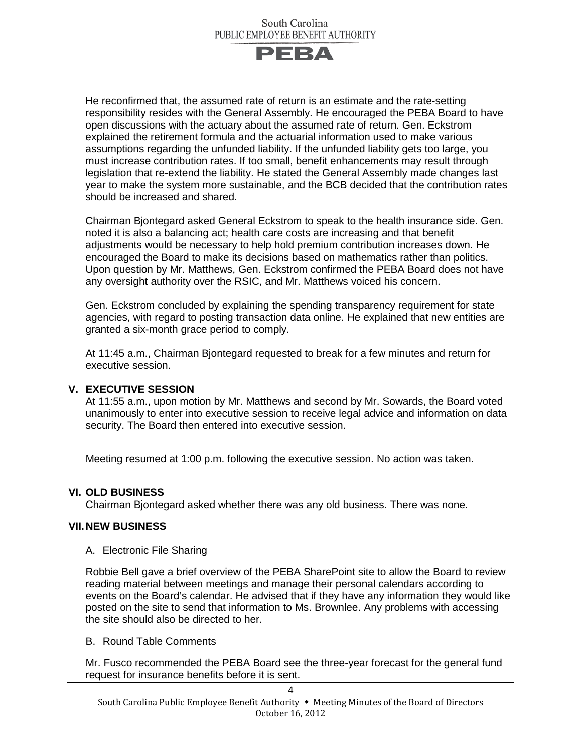

He reconfirmed that, the assumed rate of return is an estimate and the rate-setting responsibility resides with the General Assembly. He encouraged the PEBA Board to have open discussions with the actuary about the assumed rate of return. Gen. Eckstrom explained the retirement formula and the actuarial information used to make various assumptions regarding the unfunded liability. If the unfunded liability gets too large, you must increase contribution rates. If too small, benefit enhancements may result through legislation that re-extend the liability. He stated the General Assembly made changes last year to make the system more sustainable, and the BCB decided that the contribution rates should be increased and shared.

Chairman Bjontegard asked General Eckstrom to speak to the health insurance side. Gen. noted it is also a balancing act; health care costs are increasing and that benefit adjustments would be necessary to help hold premium contribution increases down. He encouraged the Board to make its decisions based on mathematics rather than politics. Upon question by Mr. Matthews, Gen. Eckstrom confirmed the PEBA Board does not have any oversight authority over the RSIC, and Mr. Matthews voiced his concern.

Gen. Eckstrom concluded by explaining the spending transparency requirement for state agencies, with regard to posting transaction data online. He explained that new entities are granted a six-month grace period to comply.

At 11:45 a.m., Chairman Bjontegard requested to break for a few minutes and return for executive session.

#### **V. EXECUTIVE SESSION**

At 11:55 a.m., upon motion by Mr. Matthews and second by Mr. Sowards, the Board voted unanimously to enter into executive session to receive legal advice and information on data security. The Board then entered into executive session.

Meeting resumed at 1:00 p.m. following the executive session. No action was taken.

#### **VI. OLD BUSINESS**

Chairman Bjontegard asked whether there was any old business. There was none.

#### **VII.NEW BUSINESS**

A. Electronic File Sharing

Robbie Bell gave a brief overview of the PEBA SharePoint site to allow the Board to review reading material between meetings and manage their personal calendars according to events on the Board's calendar. He advised that if they have any information they would like posted on the site to send that information to Ms. Brownlee. Any problems with accessing the site should also be directed to her.

#### B. Round Table Comments

Mr. Fusco recommended the PEBA Board see the three-year forecast for the general fund request for insurance benefits before it is sent.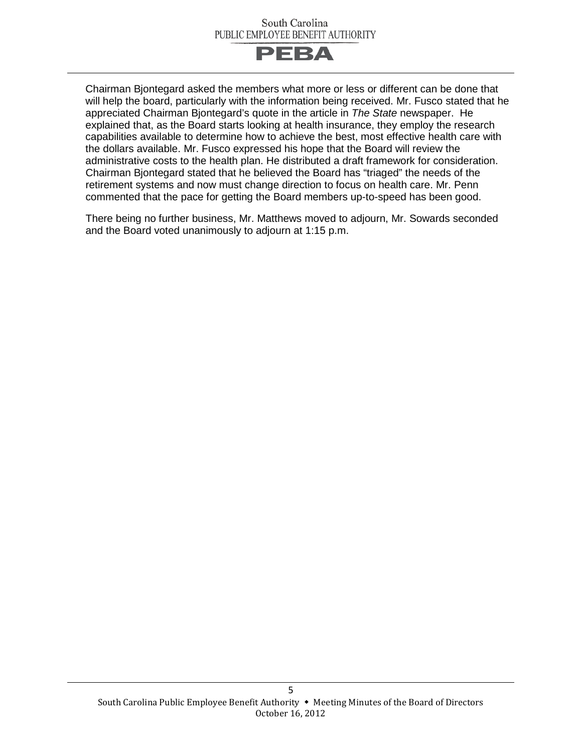

Chairman Bjontegard asked the members what more or less or different can be done that will help the board, particularly with the information being received. Mr. Fusco stated that he appreciated Chairman Bjontegard's quote in the article in *The State* newspaper. He explained that, as the Board starts looking at health insurance, they employ the research capabilities available to determine how to achieve the best, most effective health care with the dollars available. Mr. Fusco expressed his hope that the Board will review the administrative costs to the health plan. He distributed a draft framework for consideration. Chairman Bjontegard stated that he believed the Board has "triaged" the needs of the retirement systems and now must change direction to focus on health care. Mr. Penn commented that the pace for getting the Board members up-to-speed has been good.

There being no further business, Mr. Matthews moved to adjourn, Mr. Sowards seconded and the Board voted unanimously to adjourn at 1:15 p.m.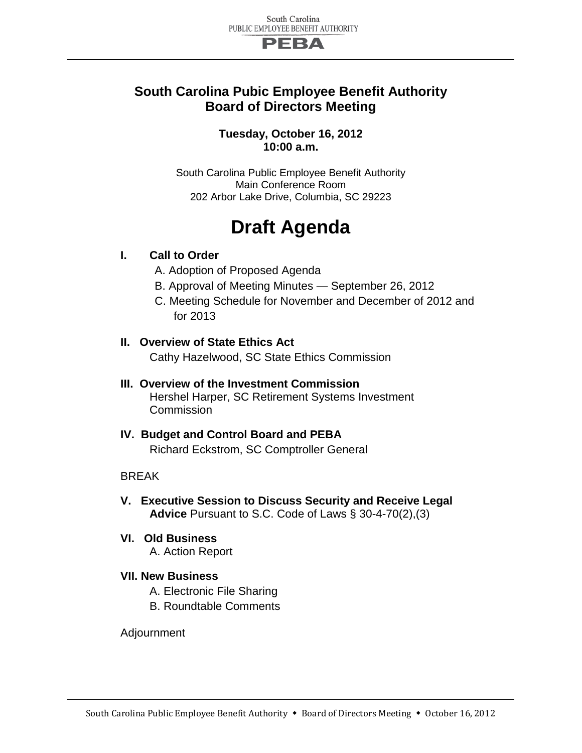

### **South Carolina Pubic Employee Benefit Authority Board of Directors Meeting**

#### **Tuesday, October 16, 2012 10:00 a.m.**

South Carolina Public Employee Benefit Authority Main Conference Room 202 Arbor Lake Drive, Columbia, SC 29223

## **Draft Agenda**

#### **I. Call to Order**

- A. Adoption of Proposed Agenda
- B. Approval of Meeting Minutes September 26, 2012
- C. Meeting Schedule for November and December of 2012 and for 2013

## **II. Overview of State Ethics Act**

Cathy Hazelwood, SC State Ethics Commission

#### **III. Overview of the Investment Commission** Hershel Harper, SC Retirement Systems Investment **Commission**

#### **IV. Budget and Control Board and PEBA** Richard Eckstrom, SC Comptroller General

#### **BRFAK**

- **V. Executive Session to Discuss Security and Receive Legal Advice** Pursuant to S.C. Code of Laws § 30-4-70(2),(3)
- **VI. Old Business**

A. Action Report

#### **VII. New Business**

- A. Electronic File Sharing
- B. Roundtable Comments

#### Adjournment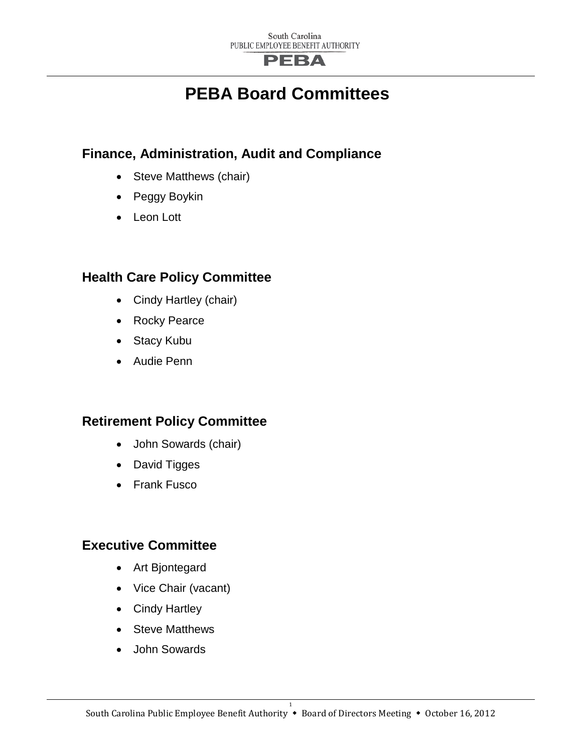## **PEBA**

## **PEBA Board Committees**

## **Finance, Administration, Audit and Compliance**

- Steve Matthews (chair)
- Peggy Boykin
- Leon Lott

## **Health Care Policy Committee**

- Cindy Hartley (chair)
- Rocky Pearce
- Stacy Kubu
- Audie Penn

## **Retirement Policy Committee**

- John Sowards (chair)
- David Tigges
- Frank Fusco

## **Executive Committee**

- Art Bjontegard
- Vice Chair (vacant)
- Cindy Hartley
- Steve Matthews
- John Sowards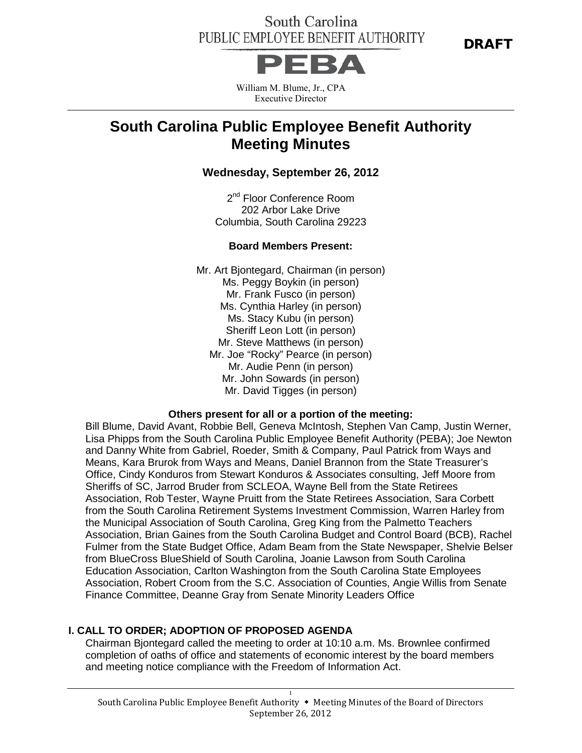DRAFT



William M. Blume, Jr., CPA Executive Director

## **South Carolina Public Employee Benefit Authority Meeting Minutes**

#### **Wednesday, September 26, 2012**

2<sup>nd</sup> Floor Conference Room 202 Arbor Lake Drive Columbia, South Carolina 29223

#### **Board Members Present:**

Mr. Art Bjontegard, Chairman (in person) Ms. Peggy Boykin (in person) Mr. Frank Fusco (in person) Ms. Cynthia Harley (in person) Ms. Stacy Kubu (in person) Sheriff Leon Lott (in person) Mr. Steve Matthews (in person) Mr. Joe "Rocky" Pearce (in person) Mr. Audie Penn (in person) Mr. John Sowards (in person) Mr. David Tigges (in person)

#### **Others present for all or a portion of the meeting:**

Bill Blume, David Avant, Robbie Bell, Geneva McIntosh, Stephen Van Camp, Justin Werner, Lisa Phipps from the South Carolina Public Employee Benefit Authority (PEBA); Joe Newton and Danny White from Gabriel, Roeder, Smith & Company, Paul Patrick from Ways and Means, Kara Brurok from Ways and Means, Daniel Brannon from the State Treasurer's Office, Cindy Konduros from Stewart Konduros & Associates consulting, Jeff Moore from Sheriffs of SC, Jarrod Bruder from SCLEOA, Wayne Bell from the State Retirees Association, Rob Tester, Wayne Pruitt from the State Retirees Association, Sara Corbett from the South Carolina Retirement Systems Investment Commission, Warren Harley from the Municipal Association of South Carolina, Greg King from the Palmetto Teachers Association, Brian Gaines from the South Carolina Budget and Control Board (BCB), Rachel Fulmer from the State Budget Office, Adam Beam from the State Newspaper, Shelvie Belser from BlueCross BlueShield of South Carolina, Joanie Lawson from South Carolina Education Association, Carlton Washington from the South Carolina State Employees Association, Robert Croom from the S.C. Association of Counties, Angie Willis from Senate Finance Committee, Deanne Gray from Senate Minority Leaders Office

#### **I. CALL TO ORDER; ADOPTION OF PROPOSED AGENDA**

Chairman Bjontegard called the meeting to order at 10:10 a.m. Ms. Brownlee confirmed completion of oaths of office and statements of economic interest by the board members and meeting notice compliance with the Freedom of Information Act.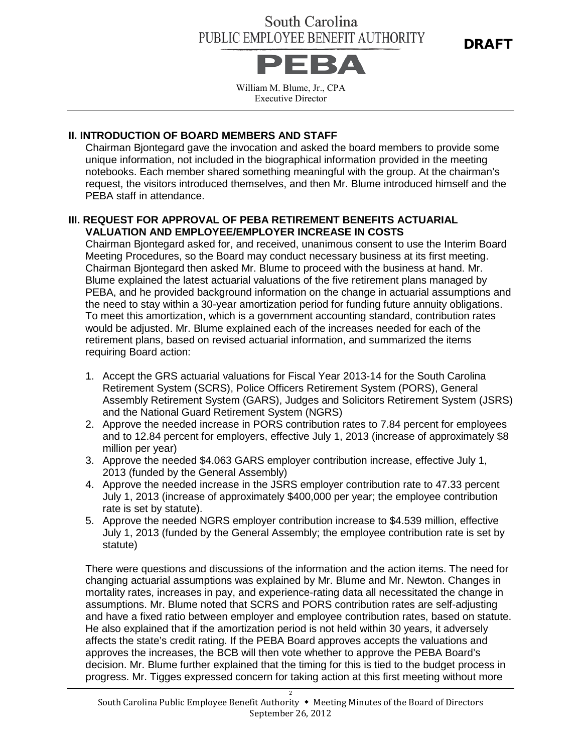DRAFT



William M. Blume, Jr., CPA Executive Director

#### **II. INTRODUCTION OF BOARD MEMBERS AND STAFF**

Chairman Bjontegard gave the invocation and asked the board members to provide some unique information, not included in the biographical information provided in the meeting notebooks. Each member shared something meaningful with the group. At the chairman's request, the visitors introduced themselves, and then Mr. Blume introduced himself and the PEBA staff in attendance.

#### **III. REQUEST FOR APPROVAL OF PEBA RETIREMENT BENEFITS ACTUARIAL VALUATION AND EMPLOYEE/EMPLOYER INCREASE IN COSTS**

Chairman Bjontegard asked for, and received, unanimous consent to use the Interim Board Meeting Procedures, so the Board may conduct necessary business at its first meeting. Chairman Bjontegard then asked Mr. Blume to proceed with the business at hand. Mr. Blume explained the latest actuarial valuations of the five retirement plans managed by PEBA, and he provided background information on the change in actuarial assumptions and the need to stay within a 30-year amortization period for funding future annuity obligations. To meet this amortization, which is a government accounting standard, contribution rates would be adjusted. Mr. Blume explained each of the increases needed for each of the retirement plans, based on revised actuarial information, and summarized the items requiring Board action:

- 1. Accept the GRS actuarial valuations for Fiscal Year 2013-14 for the South Carolina Retirement System (SCRS), Police Officers Retirement System (PORS), General Assembly Retirement System (GARS), Judges and Solicitors Retirement System (JSRS) and the National Guard Retirement System (NGRS)
- 2. Approve the needed increase in PORS contribution rates to 7.84 percent for employees and to 12.84 percent for employers, effective July 1, 2013 (increase of approximately \$8 million per year)
- 3. Approve the needed \$4.063 GARS employer contribution increase, effective July 1, 2013 (funded by the General Assembly)
- 4. Approve the needed increase in the JSRS employer contribution rate to 47.33 percent July 1, 2013 (increase of approximately \$400,000 per year; the employee contribution rate is set by statute).
- 5. Approve the needed NGRS employer contribution increase to \$4.539 million, effective July 1, 2013 (funded by the General Assembly; the employee contribution rate is set by statute)

There were questions and discussions of the information and the action items. The need for changing actuarial assumptions was explained by Mr. Blume and Mr. Newton. Changes in mortality rates, increases in pay, and experience-rating data all necessitated the change in assumptions. Mr. Blume noted that SCRS and PORS contribution rates are self-adjusting and have a fixed ratio between employer and employee contribution rates, based on statute. He also explained that if the amortization period is not held within 30 years, it adversely affects the state's credit rating. If the PEBA Board approves accepts the valuations and approves the increases, the BCB will then vote whether to approve the PEBA Board's decision. Mr. Blume further explained that the timing for this is tied to the budget process in progress. Mr. Tigges expressed concern for taking action at this first meeting without more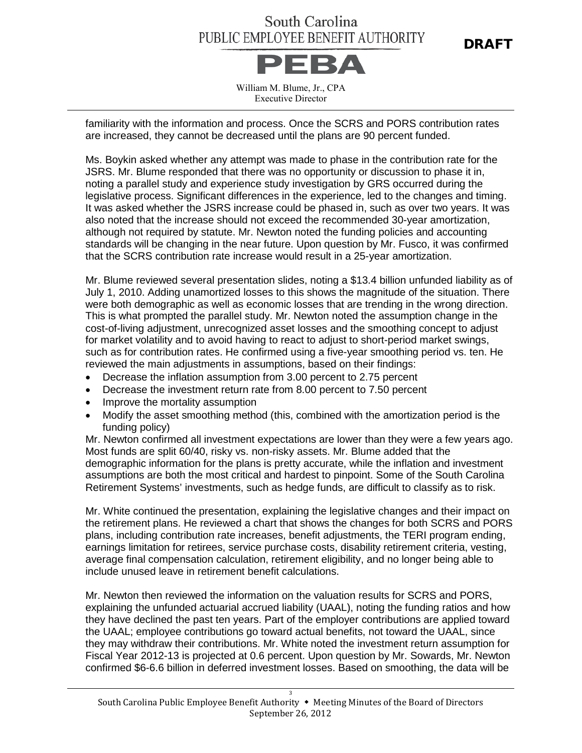DRAFT



William M. Blume, Jr., CPA Executive Director

familiarity with the information and process. Once the SCRS and PORS contribution rates are increased, they cannot be decreased until the plans are 90 percent funded.

Ms. Boykin asked whether any attempt was made to phase in the contribution rate for the JSRS. Mr. Blume responded that there was no opportunity or discussion to phase it in, noting a parallel study and experience study investigation by GRS occurred during the legislative process. Significant differences in the experience, led to the changes and timing. It was asked whether the JSRS increase could be phased in, such as over two years. It was also noted that the increase should not exceed the recommended 30-year amortization, although not required by statute. Mr. Newton noted the funding policies and accounting standards will be changing in the near future. Upon question by Mr. Fusco, it was confirmed that the SCRS contribution rate increase would result in a 25-year amortization.

Mr. Blume reviewed several presentation slides, noting a \$13.4 billion unfunded liability as of July 1, 2010. Adding unamortized losses to this shows the magnitude of the situation. There were both demographic as well as economic losses that are trending in the wrong direction. This is what prompted the parallel study. Mr. Newton noted the assumption change in the cost-of-living adjustment, unrecognized asset losses and the smoothing concept to adjust for market volatility and to avoid having to react to adjust to short-period market swings, such as for contribution rates. He confirmed using a five-year smoothing period vs. ten. He reviewed the main adjustments in assumptions, based on their findings:

- Decrease the inflation assumption from 3.00 percent to 2.75 percent
- Decrease the investment return rate from 8.00 percent to 7.50 percent
- Improve the mortality assumption
- Modify the asset smoothing method (this, combined with the amortization period is the funding policy)

Mr. Newton confirmed all investment expectations are lower than they were a few years ago. Most funds are split 60/40, risky vs. non-risky assets. Mr. Blume added that the demographic information for the plans is pretty accurate, while the inflation and investment assumptions are both the most critical and hardest to pinpoint. Some of the South Carolina Retirement Systems' investments, such as hedge funds, are difficult to classify as to risk.

Mr. White continued the presentation, explaining the legislative changes and their impact on the retirement plans. He reviewed a chart that shows the changes for both SCRS and PORS plans, including contribution rate increases, benefit adjustments, the TERI program ending, earnings limitation for retirees, service purchase costs, disability retirement criteria, vesting, average final compensation calculation, retirement eligibility, and no longer being able to include unused leave in retirement benefit calculations.

Mr. Newton then reviewed the information on the valuation results for SCRS and PORS, explaining the unfunded actuarial accrued liability (UAAL), noting the funding ratios and how they have declined the past ten years. Part of the employer contributions are applied toward the UAAL; employee contributions go toward actual benefits, not toward the UAAL, since they may withdraw their contributions. Mr. White noted the investment return assumption for Fiscal Year 2012-13 is projected at 0.6 percent. Upon question by Mr. Sowards, Mr. Newton confirmed \$6-6.6 billion in deferred investment losses. Based on smoothing, the data will be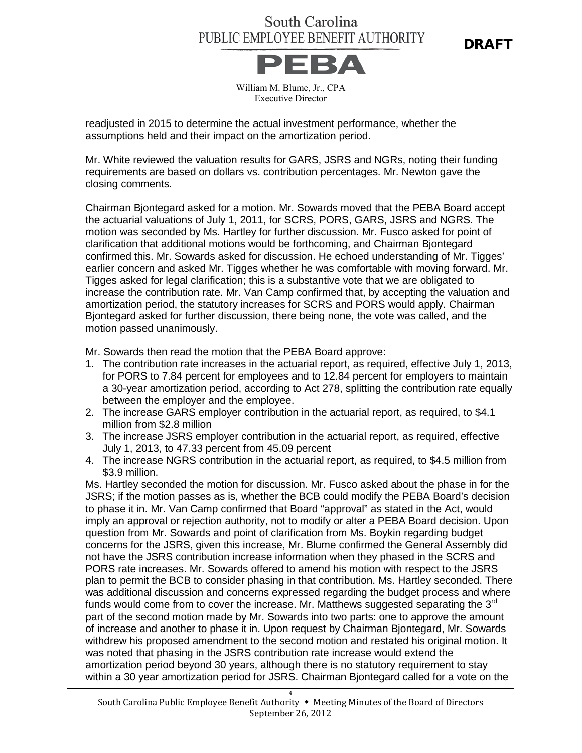DRAFT



William M. Blume, Jr., CPA Executive Director

readjusted in 2015 to determine the actual investment performance, whether the assumptions held and their impact on the amortization period.

Mr. White reviewed the valuation results for GARS, JSRS and NGRs, noting their funding requirements are based on dollars vs. contribution percentages. Mr. Newton gave the closing comments.

Chairman Bjontegard asked for a motion. Mr. Sowards moved that the PEBA Board accept the actuarial valuations of July 1, 2011, for SCRS, PORS, GARS, JSRS and NGRS. The motion was seconded by Ms. Hartley for further discussion. Mr. Fusco asked for point of clarification that additional motions would be forthcoming, and Chairman Bjontegard confirmed this. Mr. Sowards asked for discussion. He echoed understanding of Mr. Tigges' earlier concern and asked Mr. Tigges whether he was comfortable with moving forward. Mr. Tigges asked for legal clarification; this is a substantive vote that we are obligated to increase the contribution rate. Mr. Van Camp confirmed that, by accepting the valuation and amortization period, the statutory increases for SCRS and PORS would apply. Chairman Bjontegard asked for further discussion, there being none, the vote was called, and the motion passed unanimously.

Mr. Sowards then read the motion that the PEBA Board approve:

- 1. The contribution rate increases in the actuarial report, as required, effective July 1, 2013, for PORS to 7.84 percent for employees and to 12.84 percent for employers to maintain a 30-year amortization period, according to Act 278, splitting the contribution rate equally between the employer and the employee.
- 2. The increase GARS employer contribution in the actuarial report, as required, to \$4.1 million from \$2.8 million
- 3. The increase JSRS employer contribution in the actuarial report, as required, effective July 1, 2013, to 47.33 percent from 45.09 percent
- 4. The increase NGRS contribution in the actuarial report, as required, to \$4.5 million from \$3.9 million.

Ms. Hartley seconded the motion for discussion. Mr. Fusco asked about the phase in for the JSRS; if the motion passes as is, whether the BCB could modify the PEBA Board's decision to phase it in. Mr. Van Camp confirmed that Board "approval" as stated in the Act, would imply an approval or rejection authority, not to modify or alter a PEBA Board decision. Upon question from Mr. Sowards and point of clarification from Ms. Boykin regarding budget concerns for the JSRS, given this increase, Mr. Blume confirmed the General Assembly did not have the JSRS contribution increase information when they phased in the SCRS and PORS rate increases. Mr. Sowards offered to amend his motion with respect to the JSRS plan to permit the BCB to consider phasing in that contribution. Ms. Hartley seconded. There was additional discussion and concerns expressed regarding the budget process and where funds would come from to cover the increase. Mr. Matthews suggested separating the  $3<sup>rd</sup>$ part of the second motion made by Mr. Sowards into two parts: one to approve the amount of increase and another to phase it in. Upon request by Chairman Bjontegard, Mr. Sowards withdrew his proposed amendment to the second motion and restated his original motion. It was noted that phasing in the JSRS contribution rate increase would extend the amortization period beyond 30 years, although there is no statutory requirement to stay within a 30 year amortization period for JSRS. Chairman Bjontegard called for a vote on the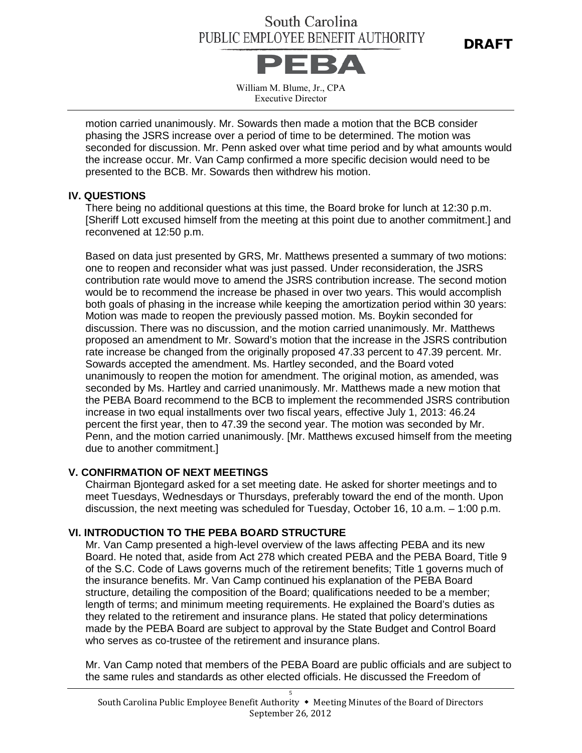

William M. Blume, Jr., CPA Executive Director

motion carried unanimously. Mr. Sowards then made a motion that the BCB consider phasing the JSRS increase over a period of time to be determined. The motion was seconded for discussion. Mr. Penn asked over what time period and by what amounts would the increase occur. Mr. Van Camp confirmed a more specific decision would need to be presented to the BCB. Mr. Sowards then withdrew his motion.

#### **IV. QUESTIONS**

There being no additional questions at this time, the Board broke for lunch at 12:30 p.m. [Sheriff Lott excused himself from the meeting at this point due to another commitment.] and reconvened at 12:50 p.m.

Based on data just presented by GRS, Mr. Matthews presented a summary of two motions: one to reopen and reconsider what was just passed. Under reconsideration, the JSRS contribution rate would move to amend the JSRS contribution increase. The second motion would be to recommend the increase be phased in over two years. This would accomplish both goals of phasing in the increase while keeping the amortization period within 30 years: Motion was made to reopen the previously passed motion. Ms. Boykin seconded for discussion. There was no discussion, and the motion carried unanimously. Mr. Matthews proposed an amendment to Mr. Soward's motion that the increase in the JSRS contribution rate increase be changed from the originally proposed 47.33 percent to 47.39 percent. Mr. Sowards accepted the amendment. Ms. Hartley seconded, and the Board voted unanimously to reopen the motion for amendment. The original motion, as amended, was seconded by Ms. Hartley and carried unanimously. Mr. Matthews made a new motion that the PEBA Board recommend to the BCB to implement the recommended JSRS contribution increase in two equal installments over two fiscal years, effective July 1, 2013: 46.24 percent the first year, then to 47.39 the second year. The motion was seconded by Mr. Penn, and the motion carried unanimously. [Mr. Matthews excused himself from the meeting due to another commitment.]

#### **V. CONFIRMATION OF NEXT MEETINGS**

Chairman Bjontegard asked for a set meeting date. He asked for shorter meetings and to meet Tuesdays, Wednesdays or Thursdays, preferably toward the end of the month. Upon discussion, the next meeting was scheduled for Tuesday, October 16, 10 a.m. – 1:00 p.m.

#### **VI. INTRODUCTION TO THE PEBA BOARD STRUCTURE**

Mr. Van Camp presented a high-level overview of the laws affecting PEBA and its new Board. He noted that, aside from Act 278 which created PEBA and the PEBA Board, Title 9 of the S.C. Code of Laws governs much of the retirement benefits; Title 1 governs much of the insurance benefits. Mr. Van Camp continued his explanation of the PEBA Board structure, detailing the composition of the Board; qualifications needed to be a member; length of terms; and minimum meeting requirements. He explained the Board's duties as they related to the retirement and insurance plans. He stated that policy determinations made by the PEBA Board are subject to approval by the State Budget and Control Board who serves as co-trustee of the retirement and insurance plans.

Mr. Van Camp noted that members of the PEBA Board are public officials and are subject to the same rules and standards as other elected officials. He discussed the Freedom of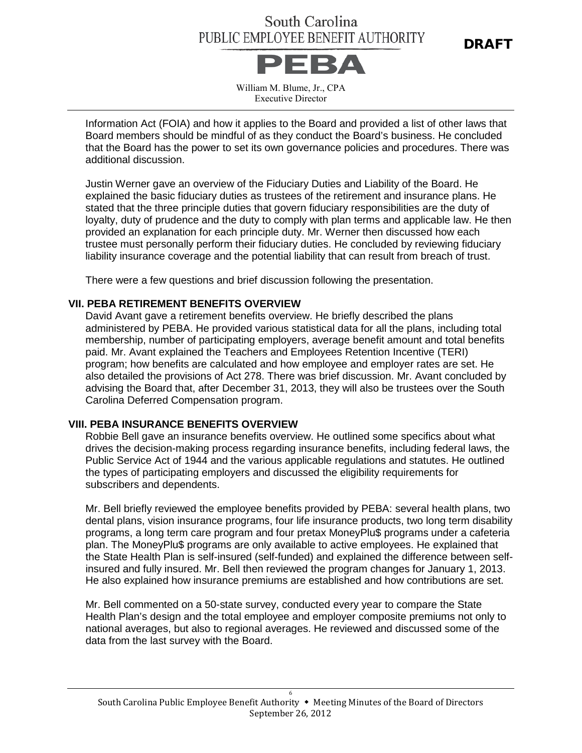DRAFT



William M. Blume, Jr., CPA Executive Director

Information Act (FOIA) and how it applies to the Board and provided a list of other laws that Board members should be mindful of as they conduct the Board's business. He concluded that the Board has the power to set its own governance policies and procedures. There was additional discussion.

Justin Werner gave an overview of the Fiduciary Duties and Liability of the Board. He explained the basic fiduciary duties as trustees of the retirement and insurance plans. He stated that the three principle duties that govern fiduciary responsibilities are the duty of loyalty, duty of prudence and the duty to comply with plan terms and applicable law. He then provided an explanation for each principle duty. Mr. Werner then discussed how each trustee must personally perform their fiduciary duties. He concluded by reviewing fiduciary liability insurance coverage and the potential liability that can result from breach of trust.

There were a few questions and brief discussion following the presentation.

#### **VII. PEBA RETIREMENT BENEFITS OVERVIEW**

David Avant gave a retirement benefits overview. He briefly described the plans administered by PEBA. He provided various statistical data for all the plans, including total membership, number of participating employers, average benefit amount and total benefits paid. Mr. Avant explained the Teachers and Employees Retention Incentive (TERI) program; how benefits are calculated and how employee and employer rates are set. He also detailed the provisions of Act 278. There was brief discussion. Mr. Avant concluded by advising the Board that, after December 31, 2013, they will also be trustees over the South Carolina Deferred Compensation program.

#### **VIII. PEBA INSURANCE BENEFITS OVERVIEW**

Robbie Bell gave an insurance benefits overview. He outlined some specifics about what drives the decision-making process regarding insurance benefits, including federal laws, the Public Service Act of 1944 and the various applicable regulations and statutes. He outlined the types of participating employers and discussed the eligibility requirements for subscribers and dependents.

Mr. Bell briefly reviewed the employee benefits provided by PEBA: several health plans, two dental plans, vision insurance programs, four life insurance products, two long term disability programs, a long term care program and four pretax MoneyPlu\$ programs under a cafeteria plan. The MoneyPlu\$ programs are only available to active employees. He explained that the State Health Plan is self-insured (self-funded) and explained the difference between selfinsured and fully insured. Mr. Bell then reviewed the program changes for January 1, 2013. He also explained how insurance premiums are established and how contributions are set.

Mr. Bell commented on a 50-state survey, conducted every year to compare the State Health Plan's design and the total employee and employer composite premiums not only to national averages, but also to regional averages. He reviewed and discussed some of the data from the last survey with the Board.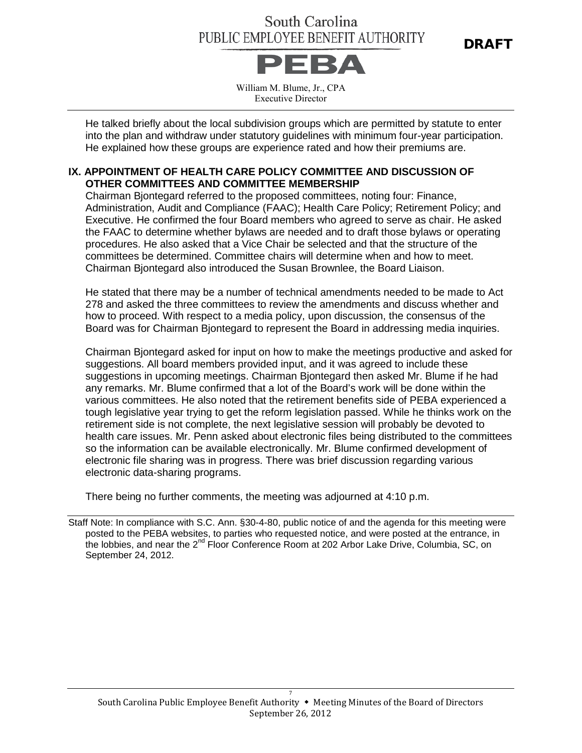DRAFT



William M. Blume, Jr., CPA Executive Director

He talked briefly about the local subdivision groups which are permitted by statute to enter into the plan and withdraw under statutory guidelines with minimum four-year participation. He explained how these groups are experience rated and how their premiums are.

#### **IX. APPOINTMENT OF HEALTH CARE POLICY COMMITTEE AND DISCUSSION OF OTHER COMMITTEES AND COMMITTEE MEMBERSHIP**

Chairman Bjontegard referred to the proposed committees, noting four: Finance, Administration, Audit and Compliance (FAAC); Health Care Policy; Retirement Policy; and Executive. He confirmed the four Board members who agreed to serve as chair. He asked the FAAC to determine whether bylaws are needed and to draft those bylaws or operating procedures. He also asked that a Vice Chair be selected and that the structure of the committees be determined. Committee chairs will determine when and how to meet. Chairman Bjontegard also introduced the Susan Brownlee, the Board Liaison.

He stated that there may be a number of technical amendments needed to be made to Act 278 and asked the three committees to review the amendments and discuss whether and how to proceed. With respect to a media policy, upon discussion, the consensus of the Board was for Chairman Bjontegard to represent the Board in addressing media inquiries.

Chairman Bjontegard asked for input on how to make the meetings productive and asked for suggestions. All board members provided input, and it was agreed to include these suggestions in upcoming meetings. Chairman Bjontegard then asked Mr. Blume if he had any remarks. Mr. Blume confirmed that a lot of the Board's work will be done within the various committees. He also noted that the retirement benefits side of PEBA experienced a tough legislative year trying to get the reform legislation passed. While he thinks work on the retirement side is not complete, the next legislative session will probably be devoted to health care issues. Mr. Penn asked about electronic files being distributed to the committees so the information can be available electronically. Mr. Blume confirmed development of electronic file sharing was in progress. There was brief discussion regarding various electronic data-sharing programs.

There being no further comments, the meeting was adjourned at 4:10 p.m.

Staff Note: In compliance with S.C. Ann. §30-4-80, public notice of and the agenda for this meeting were posted to the PEBA websites, to parties who requested notice, and were posted at the entrance, in the lobbies, and near the 2<sup>nd</sup> Floor Conference Room at 202 Arbor Lake Drive, Columbia, SC, on September 24, 2012.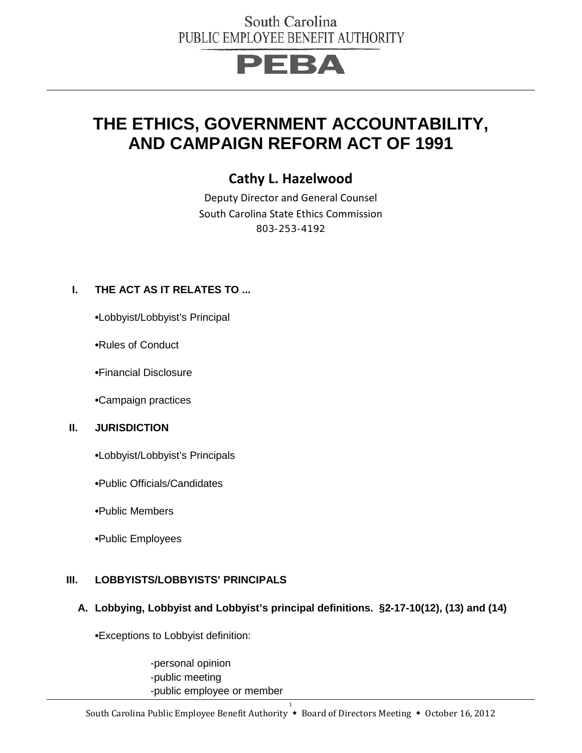# PEBA

## **THE ETHICS, GOVERNMENT ACCOUNTABILITY, AND CAMPAIGN REFORM ACT OF 1991**

## **Cathy L. Hazelwood**

Deputy Director and General Counsel South Carolina State Ethics Commission 803-253-4192

#### **I. THE ACT AS IT RELATES TO ...**

**•**Lobbyist/Lobbyist's Principal

**•**Rules of Conduct

**•**Financial Disclosure

**•**Campaign practices

#### **II. JURISDICTION**

**•**Lobbyist/Lobbyist's Principals

**•**Public Officials/Candidates

**•**Public Members

**•**Public Employees

#### **III. LOBBYISTS/LOBBYISTS' PRINCIPALS**

#### **A. Lobbying, Lobbyist and Lobbyist's principal definitions. §2-17-10(12), (13) and (14)**

**•**Exceptions to Lobbyist definition:

-personal opinion -public meeting -public employee or member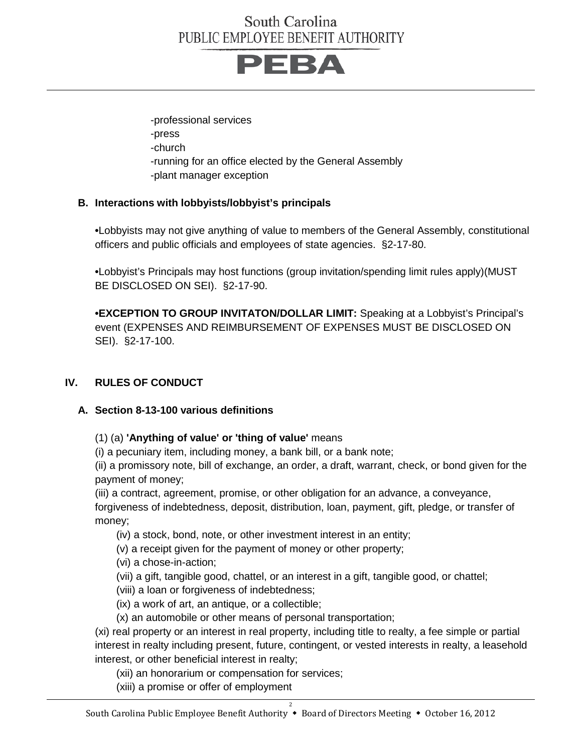

-professional services -press -church -running for an office elected by the General Assembly -plant manager exception

#### **B. Interactions with lobbyists/lobbyist's principals**

**•**Lobbyists may not give anything of value to members of the General Assembly, constitutional officers and public officials and employees of state agencies. §2-17-80.

**•**Lobbyist's Principals may host functions (group invitation/spending limit rules apply)(MUST BE DISCLOSED ON SEI). §2-17-90.

**•EXCEPTION TO GROUP INVITATON/DOLLAR LIMIT:** Speaking at a Lobbyist's Principal's event (EXPENSES AND REIMBURSEMENT OF EXPENSES MUST BE DISCLOSED ON SEI). §2-17-100.

#### **IV. RULES OF CONDUCT**

#### **A. Section 8-13-100 various definitions**

(1) (a) **'Anything of value' or 'thing of value'** means

(i) a pecuniary item, including money, a bank bill, or a bank note;

(ii) a promissory note, bill of exchange, an order, a draft, warrant, check, or bond given for the payment of money;

(iii) a contract, agreement, promise, or other obligation for an advance, a conveyance,

forgiveness of indebtedness, deposit, distribution, loan, payment, gift, pledge, or transfer of money;

(iv) a stock, bond, note, or other investment interest in an entity;

(v) a receipt given for the payment of money or other property;

(vi) a chose-in-action;

(vii) a gift, tangible good, chattel, or an interest in a gift, tangible good, or chattel;

(viii) a loan or forgiveness of indebtedness;

(ix) a work of art, an antique, or a collectible;

(x) an automobile or other means of personal transportation;

(xi) real property or an interest in real property, including title to realty, a fee simple or partial interest in realty including present, future, contingent, or vested interests in realty, a leasehold interest, or other beneficial interest in realty;

(xii) an honorarium or compensation for services;

(xiii) a promise or offer of employment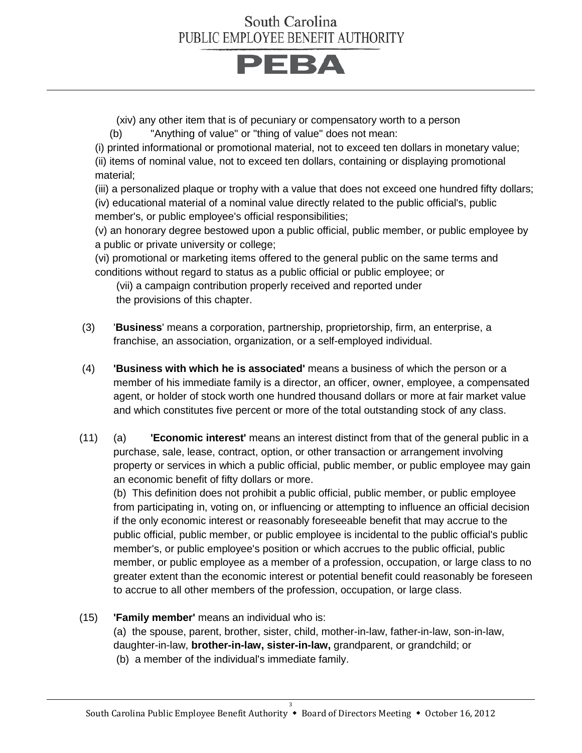# **PEBA**

(xiv) any other item that is of pecuniary or compensatory worth to a person

(b) "Anything of value" or "thing of value" does not mean:

(i) printed informational or promotional material, not to exceed ten dollars in monetary value; (ii) items of nominal value, not to exceed ten dollars, containing or displaying promotional material;

(iii) a personalized plaque or trophy with a value that does not exceed one hundred fifty dollars; (iv) educational material of a nominal value directly related to the public official's, public member's, or public employee's official responsibilities;

(v) an honorary degree bestowed upon a public official, public member, or public employee by a public or private university or college;

(vi) promotional or marketing items offered to the general public on the same terms and conditions without regard to status as a public official or public employee; or

(vii) a campaign contribution properly received and reported under the provisions of this chapter.

- (3) '**Business**' means a corporation, partnership, proprietorship, firm, an enterprise, a franchise, an association, organization, or a self-employed individual.
- (4) **'Business with which he is associated'** means a business of which the person or a member of his immediate family is a director, an officer, owner, employee, a compensated agent, or holder of stock worth one hundred thousand dollars or more at fair market value and which constitutes five percent or more of the total outstanding stock of any class.
- (11) (a) **'Economic interest'** means an interest distinct from that of the general public in a purchase, sale, lease, contract, option, or other transaction or arrangement involving property or services in which a public official, public member, or public employee may gain an economic benefit of fifty dollars or more.

(b) This definition does not prohibit a public official, public member, or public employee from participating in, voting on, or influencing or attempting to influence an official decision if the only economic interest or reasonably foreseeable benefit that may accrue to the public official, public member, or public employee is incidental to the public official's public member's, or public employee's position or which accrues to the public official, public member, or public employee as a member of a profession, occupation, or large class to no greater extent than the economic interest or potential benefit could reasonably be foreseen to accrue to all other members of the profession, occupation, or large class.

(15) **'Family member'** means an individual who is:

(a) the spouse, parent, brother, sister, child, mother-in-law, father-in-law, son-in-law, daughter-in-law, **brother-in-law, sister-in-law,** grandparent, or grandchild; or (b) a member of the individual's immediate family.

South Carolina Public Employee Benefit Authority \* Board of Directors Meeting \* October 16, 2012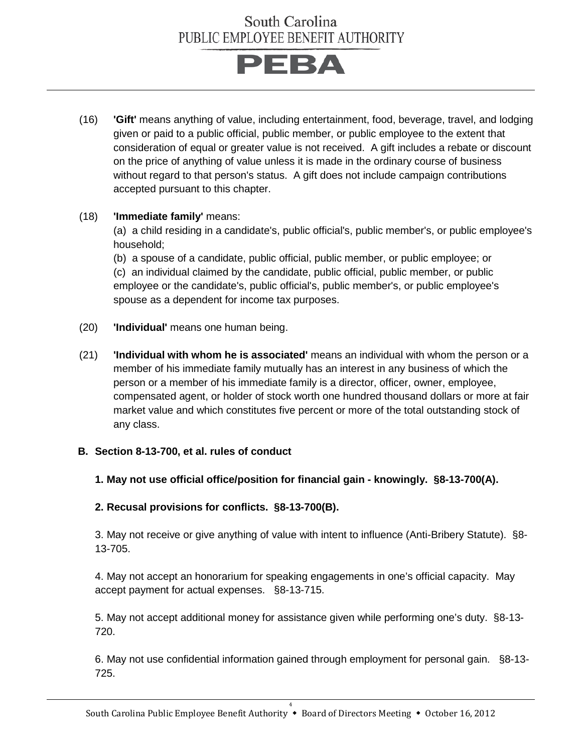

(16) **'Gift'** means anything of value, including entertainment, food, beverage, travel, and lodging given or paid to a public official, public member, or public employee to the extent that consideration of equal or greater value is not received. A gift includes a rebate or discount on the price of anything of value unless it is made in the ordinary course of business without regard to that person's status. A gift does not include campaign contributions accepted pursuant to this chapter.

#### (18) **'Immediate family'** means:

(a) a child residing in a candidate's, public official's, public member's, or public employee's household;

(b) a spouse of a candidate, public official, public member, or public employee; or (c) an individual claimed by the candidate, public official, public member, or public employee or the candidate's, public official's, public member's, or public employee's spouse as a dependent for income tax purposes.

- (20) **'Individual'** means one human being.
- (21) **'Individual with whom he is associated'** means an individual with whom the person or a member of his immediate family mutually has an interest in any business of which the person or a member of his immediate family is a director, officer, owner, employee, compensated agent, or holder of stock worth one hundred thousand dollars or more at fair market value and which constitutes five percent or more of the total outstanding stock of any class.

#### **B. Section 8-13-700, et al. rules of conduct**

#### **1. May not use official office/position for financial gain - knowingly. §8-13-700(A).**

#### **2. Recusal provisions for conflicts. §8-13-700(B).**

3. May not receive or give anything of value with intent to influence (Anti-Bribery Statute). §8- 13-705.

4. May not accept an honorarium for speaking engagements in one's official capacity. May accept payment for actual expenses. §8-13-715.

5. May not accept additional money for assistance given while performing one's duty. §8-13- 720.

6. May not use confidential information gained through employment for personal gain.§8-13- 725.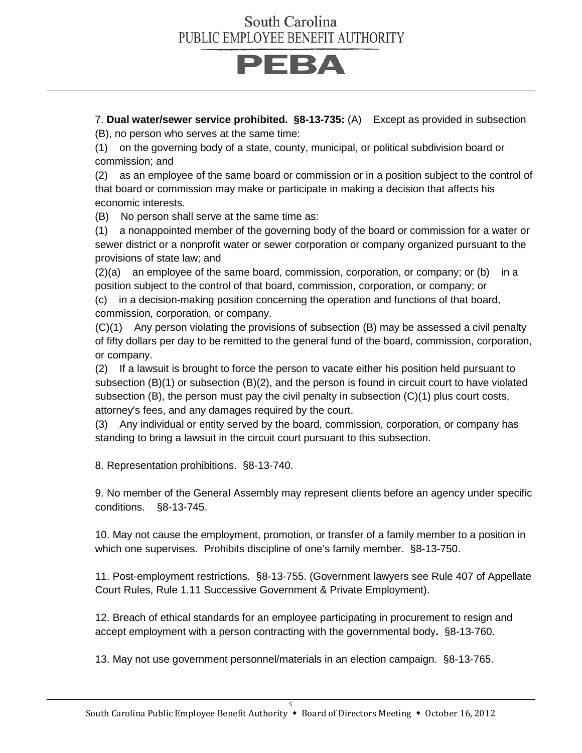

7. **Dual water/sewer service prohibited. §8-13-735:** (A) Except as provided in subsection (B), no person who serves at the same time:

(1) on the governing body of a state, county, municipal, or political subdivision board or commission; and

(2) as an employee of the same board or commission or in a position subject to the control of that board or commission may make or participate in making a decision that affects his economic interests.

(B) No person shall serve at the same time as:

(1) a nonappointed member of the governing body of the board or commission for a water or sewer district or a nonprofit water or sewer corporation or company organized pursuant to the provisions of state law; and

 $(2)(a)$  an employee of the same board, commission, corporation, or company; or  $(b)$  in a position subject to the control of that board, commission, corporation, or company; or

(c) in a decision-making position concerning the operation and functions of that board, commission, corporation, or company.

(C)(1) Any person violating the provisions of subsection (B) may be assessed a civil penalty of fifty dollars per day to be remitted to the general fund of the board, commission, corporation, or company.

(2) If a lawsuit is brought to force the person to vacate either his position held pursuant to subsection (B)(1) or subsection (B)(2), and the person is found in circuit court to have violated subsection (B), the person must pay the civil penalty in subsection (C)(1) plus court costs, attorney's fees, and any damages required by the court.

(3) Any individual or entity served by the board, commission, corporation, or company has standing to bring a lawsuit in the circuit court pursuant to this subsection.

8. Representation prohibitions. §8-13-740.

9. No member of the General Assembly may represent clients before an agency under specific conditions. §8-13-745.

10. May not cause the employment, promotion, or transfer of a family member to a position in which one supervises.Prohibits discipline of one's family member. §8-13-750.

11. Post-employment restrictions. §8-13-755. (Government lawyers see Rule 407 of Appellate Court Rules, Rule 1.11 Successive Government & Private Employment).

12. Breach of ethical standards for an employee participating in procurement to resign and accept employment with a person contracting with the governmental body**.** §8-13-760.

13. May not use government personnel/materials in an election campaign. §8-13-765.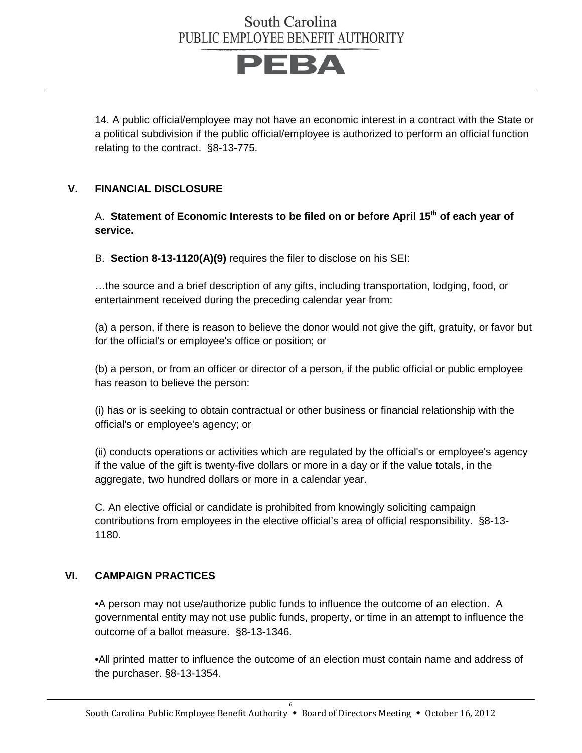

14. A public official/employee may not have an economic interest in a contract with the State or a political subdivision if the public official/employee is authorized to perform an official function relating to the contract.§8-13-775.

#### **V. FINANCIAL DISCLOSURE**

A. **Statement of Economic Interests to be filed on or before April 15th of each year of service.**

B. **Section 8-13-1120(A)(9)** requires the filer to disclose on his SEI:

…the source and a brief description of any gifts, including transportation, lodging, food, or entertainment received during the preceding calendar year from:

(a) a person, if there is reason to believe the donor would not give the gift, gratuity, or favor but for the official's or employee's office or position; or

(b) a person, or from an officer or director of a person, if the public official or public employee has reason to believe the person:

(i) has or is seeking to obtain contractual or other business or financial relationship with the official's or employee's agency; or

(ii) conducts operations or activities which are regulated by the official's or employee's agency if the value of the gift is twenty-five dollars or more in a day or if the value totals, in the aggregate, two hundred dollars or more in a calendar year.

C. An elective official or candidate is prohibited from knowingly soliciting campaign contributions from employees in the elective official's area of official responsibility. §8-13- 1180.

#### **VI. CAMPAIGN PRACTICES**

**•**A person may not use/authorize public funds to influence the outcome of an election. A governmental entity may not use public funds, property, or time in an attempt to influence the outcome of a ballot measure. §8-13-1346.

**•**All printed matter to influence the outcome of an election must contain name and address of the purchaser. §8-13-1354.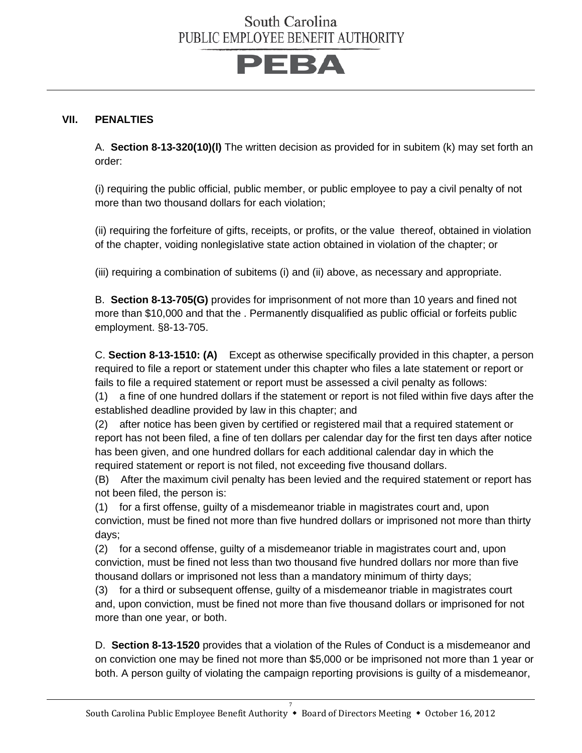

#### **VII. PENALTIES**

A. **Section 8-13-320(10)(l)** The written decision as provided for in subitem (k) may set forth an order:

(i) requiring the public official, public member, or public employee to pay a civil penalty of not more than two thousand dollars for each violation;

(ii) requiring the forfeiture of gifts, receipts, or profits, or the value thereof, obtained in violation of the chapter, voiding nonlegislative state action obtained in violation of the chapter; or

(iii) requiring a combination of subitems (i) and (ii) above, as necessary and appropriate.

B. **Section 8-13-705(G)** provides for imprisonment of not more than 10 years and fined not more than \$10,000 and that the . Permanently disqualified as public official or forfeits public employment. §8-13-705.

C. **Section 8-13-1510: (A)** Except as otherwise specifically provided in this chapter, a person required to file a report or statement under this chapter who files a late statement or report or fails to file a required statement or report must be assessed a civil penalty as follows:

(1) a fine of one hundred dollars if the statement or report is not filed within five days after the established deadline provided by law in this chapter; and

(2) after notice has been given by certified or registered mail that a required statement or report has not been filed, a fine of ten dollars per calendar day for the first ten days after notice has been given, and one hundred dollars for each additional calendar day in which the required statement or report is not filed, not exceeding five thousand dollars.

(B) After the maximum civil penalty has been levied and the required statement or report has not been filed, the person is:

(1) for a first offense, guilty of a misdemeanor triable in magistrates court and, upon conviction, must be fined not more than five hundred dollars or imprisoned not more than thirty days;

(2) for a second offense, guilty of a misdemeanor triable in magistrates court and, upon conviction, must be fined not less than two thousand five hundred dollars nor more than five thousand dollars or imprisoned not less than a mandatory minimum of thirty days;

(3) for a third or subsequent offense, guilty of a misdemeanor triable in magistrates court and, upon conviction, must be fined not more than five thousand dollars or imprisoned for not more than one year, or both.

D. **Section 8-13-1520** provides that a violation of the Rules of Conduct is a misdemeanor and on conviction one may be fined not more than \$5,000 or be imprisoned not more than 1 year or both. A person guilty of violating the campaign reporting provisions is guilty of a misdemeanor,